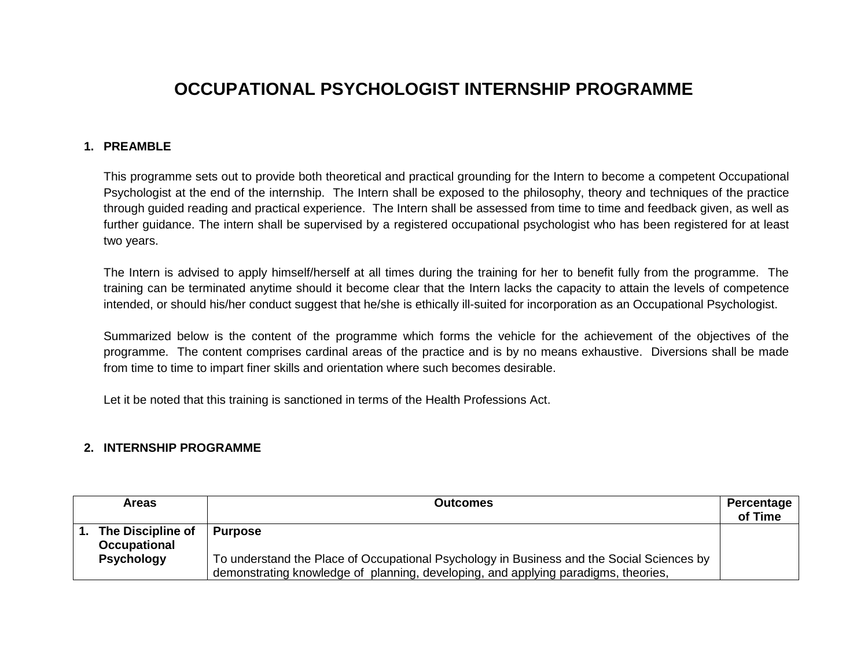## **OCCUPATIONAL PSYCHOLOGIST INTERNSHIP PROGRAMME**

## **1. PREAMBLE**

This programme sets out to provide both theoretical and practical grounding for the Intern to become a competent Occupational Psychologist at the end of the internship. The Intern shall be exposed to the philosophy, theory and techniques of the practice through guided reading and practical experience. The Intern shall be assessed from time to time and feedback given, as well as further guidance. The intern shall be supervised by a registered occupational psychologist who has been registered for at least two years.

The Intern is advised to apply himself/herself at all times during the training for her to benefit fully from the programme. The training can be terminated anytime should it become clear that the Intern lacks the capacity to attain the levels of competence intended, or should his/her conduct suggest that he/she is ethically ill-suited for incorporation as an Occupational Psychologist.

Summarized below is the content of the programme which forms the vehicle for the achievement of the objectives of the programme. The content comprises cardinal areas of the practice and is by no means exhaustive. Diversions shall be made from time to time to impart finer skills and orientation where such becomes desirable.

Let it be noted that this training is sanctioned in terms of the Health Professions Act.

## **2. INTERNSHIP PROGRAMME**

| <b>Areas</b>                      | Outcomes                                                                                                                                                                        | Percentage<br>of Time |
|-----------------------------------|---------------------------------------------------------------------------------------------------------------------------------------------------------------------------------|-----------------------|
| The Discipline of<br>Occupational | <b>Purpose</b>                                                                                                                                                                  |                       |
| <b>Psychology</b>                 | To understand the Place of Occupational Psychology in Business and the Social Sciences by<br>demonstrating knowledge of planning, developing, and applying paradigms, theories, |                       |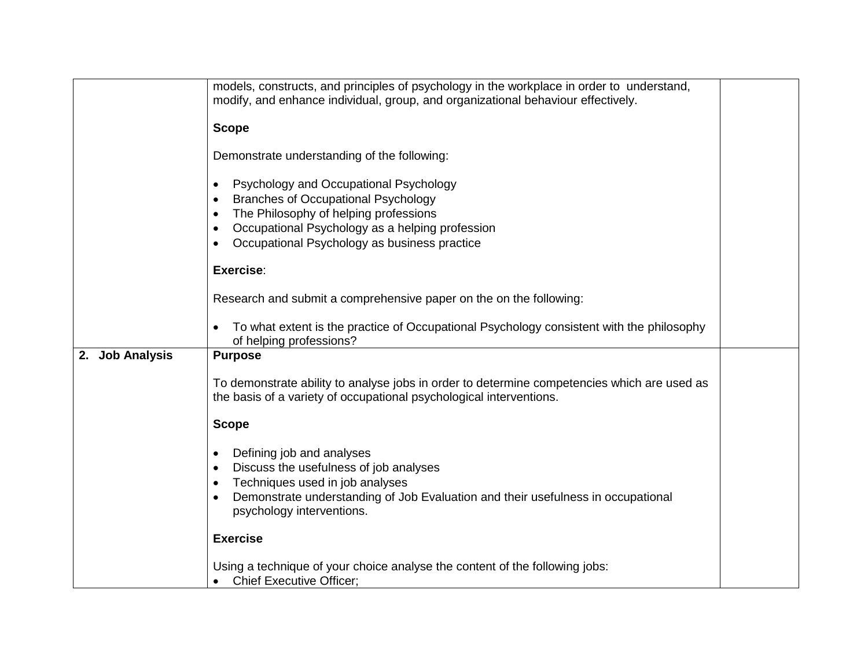|                 | models, constructs, and principles of psychology in the workplace in order to understand,                                                                          |  |
|-----------------|--------------------------------------------------------------------------------------------------------------------------------------------------------------------|--|
|                 | modify, and enhance individual, group, and organizational behaviour effectively.                                                                                   |  |
|                 | <b>Scope</b>                                                                                                                                                       |  |
|                 | Demonstrate understanding of the following:                                                                                                                        |  |
|                 | Psychology and Occupational Psychology<br>$\bullet$<br><b>Branches of Occupational Psychology</b><br>$\bullet$                                                     |  |
|                 | The Philosophy of helping professions<br>$\bullet$                                                                                                                 |  |
|                 | Occupational Psychology as a helping profession<br>$\bullet$<br>Occupational Psychology as business practice<br>$\bullet$                                          |  |
|                 |                                                                                                                                                                    |  |
|                 | Exercise:                                                                                                                                                          |  |
|                 | Research and submit a comprehensive paper on the on the following:                                                                                                 |  |
|                 | To what extent is the practice of Occupational Psychology consistent with the philosophy<br>$\bullet$<br>of helping professions?                                   |  |
| 2. Job Analysis | <b>Purpose</b>                                                                                                                                                     |  |
|                 | To demonstrate ability to analyse jobs in order to determine competencies which are used as<br>the basis of a variety of occupational psychological interventions. |  |
|                 | <b>Scope</b>                                                                                                                                                       |  |
|                 | Defining job and analyses<br>$\bullet$<br>Discuss the usefulness of job analyses<br>$\bullet$<br>Techniques used in job analyses<br>$\bullet$                      |  |
|                 | Demonstrate understanding of Job Evaluation and their usefulness in occupational<br>$\bullet$<br>psychology interventions.                                         |  |
|                 | <b>Exercise</b>                                                                                                                                                    |  |
|                 | Using a technique of your choice analyse the content of the following jobs:<br><b>Chief Executive Officer;</b>                                                     |  |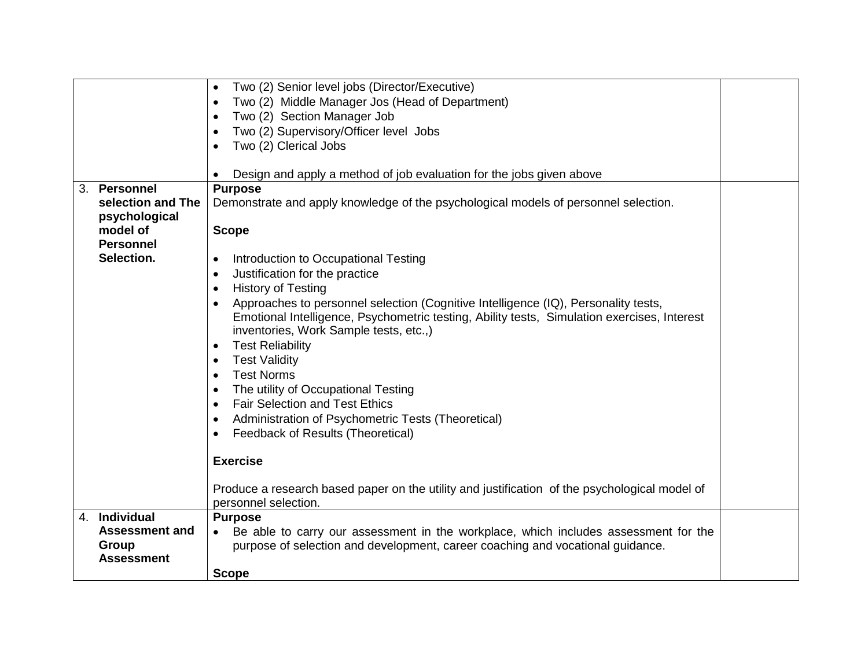|                       | Two (2) Senior level jobs (Director/Executive)                                                |  |
|-----------------------|-----------------------------------------------------------------------------------------------|--|
|                       | Two (2) Middle Manager Jos (Head of Department)                                               |  |
|                       | Two (2) Section Manager Job                                                                   |  |
|                       | Two (2) Supervisory/Officer level Jobs                                                        |  |
|                       | Two (2) Clerical Jobs                                                                         |  |
|                       |                                                                                               |  |
|                       | Design and apply a method of job evaluation for the jobs given above                          |  |
| 3. Personnel          | <b>Purpose</b>                                                                                |  |
| selection and The     | Demonstrate and apply knowledge of the psychological models of personnel selection.           |  |
| psychological         |                                                                                               |  |
| model of              | <b>Scope</b>                                                                                  |  |
| <b>Personnel</b>      |                                                                                               |  |
| Selection.            | Introduction to Occupational Testing<br>$\bullet$                                             |  |
|                       | Justification for the practice<br>$\bullet$                                                   |  |
|                       | <b>History of Testing</b><br>$\bullet$                                                        |  |
|                       | Approaches to personnel selection (Cognitive Intelligence (IQ), Personality tests,            |  |
|                       | Emotional Intelligence, Psychometric testing, Ability tests, Simulation exercises, Interest   |  |
|                       | inventories, Work Sample tests, etc.,)                                                        |  |
|                       | <b>Test Reliability</b><br>$\bullet$                                                          |  |
|                       | <b>Test Validity</b><br>$\bullet$                                                             |  |
|                       | <b>Test Norms</b>                                                                             |  |
|                       | The utility of Occupational Testing                                                           |  |
|                       | <b>Fair Selection and Test Ethics</b><br>$\bullet$                                            |  |
|                       | Administration of Psychometric Tests (Theoretical)<br>$\bullet$                               |  |
|                       | Feedback of Results (Theoretical)<br>٠                                                        |  |
|                       |                                                                                               |  |
|                       | <b>Exercise</b>                                                                               |  |
|                       |                                                                                               |  |
|                       | Produce a research based paper on the utility and justification of the psychological model of |  |
|                       | personnel selection.                                                                          |  |
| 4. Individual         | <b>Purpose</b>                                                                                |  |
| <b>Assessment and</b> | Be able to carry our assessment in the workplace, which includes assessment for the           |  |
| Group                 | purpose of selection and development, career coaching and vocational guidance.                |  |
| <b>Assessment</b>     |                                                                                               |  |
|                       | <b>Scope</b>                                                                                  |  |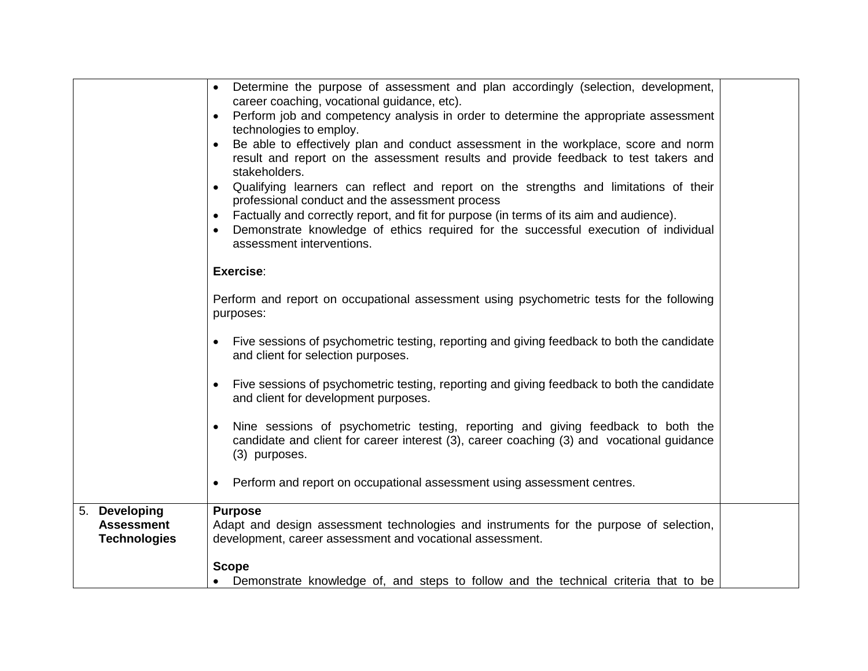|                                                           | Determine the purpose of assessment and plan accordingly (selection, development,<br>$\bullet$<br>career coaching, vocational guidance, etc).<br>Perform job and competency analysis in order to determine the appropriate assessment<br>technologies to employ.<br>Be able to effectively plan and conduct assessment in the workplace, score and norm<br>result and report on the assessment results and provide feedback to test takers and<br>stakeholders.<br>Qualifying learners can reflect and report on the strengths and limitations of their<br>professional conduct and the assessment process<br>Factually and correctly report, and fit for purpose (in terms of its aim and audience).<br>$\bullet$<br>Demonstrate knowledge of ethics required for the successful execution of individual<br>assessment interventions.<br>Exercise: |  |
|-----------------------------------------------------------|-----------------------------------------------------------------------------------------------------------------------------------------------------------------------------------------------------------------------------------------------------------------------------------------------------------------------------------------------------------------------------------------------------------------------------------------------------------------------------------------------------------------------------------------------------------------------------------------------------------------------------------------------------------------------------------------------------------------------------------------------------------------------------------------------------------------------------------------------------|--|
|                                                           |                                                                                                                                                                                                                                                                                                                                                                                                                                                                                                                                                                                                                                                                                                                                                                                                                                                     |  |
|                                                           | Perform and report on occupational assessment using psychometric tests for the following<br>purposes:                                                                                                                                                                                                                                                                                                                                                                                                                                                                                                                                                                                                                                                                                                                                               |  |
|                                                           | Five sessions of psychometric testing, reporting and giving feedback to both the candidate<br>and client for selection purposes.                                                                                                                                                                                                                                                                                                                                                                                                                                                                                                                                                                                                                                                                                                                    |  |
|                                                           | Five sessions of psychometric testing, reporting and giving feedback to both the candidate<br>and client for development purposes.                                                                                                                                                                                                                                                                                                                                                                                                                                                                                                                                                                                                                                                                                                                  |  |
|                                                           | Nine sessions of psychometric testing, reporting and giving feedback to both the<br>candidate and client for career interest (3), career coaching (3) and vocational guidance<br>(3) purposes.                                                                                                                                                                                                                                                                                                                                                                                                                                                                                                                                                                                                                                                      |  |
|                                                           | Perform and report on occupational assessment using assessment centres.                                                                                                                                                                                                                                                                                                                                                                                                                                                                                                                                                                                                                                                                                                                                                                             |  |
| 5. Developing<br><b>Assessment</b><br><b>Technologies</b> | <b>Purpose</b><br>Adapt and design assessment technologies and instruments for the purpose of selection,<br>development, career assessment and vocational assessment.                                                                                                                                                                                                                                                                                                                                                                                                                                                                                                                                                                                                                                                                               |  |
|                                                           | <b>Scope</b>                                                                                                                                                                                                                                                                                                                                                                                                                                                                                                                                                                                                                                                                                                                                                                                                                                        |  |
|                                                           | Demonstrate knowledge of, and steps to follow and the technical criteria that to be                                                                                                                                                                                                                                                                                                                                                                                                                                                                                                                                                                                                                                                                                                                                                                 |  |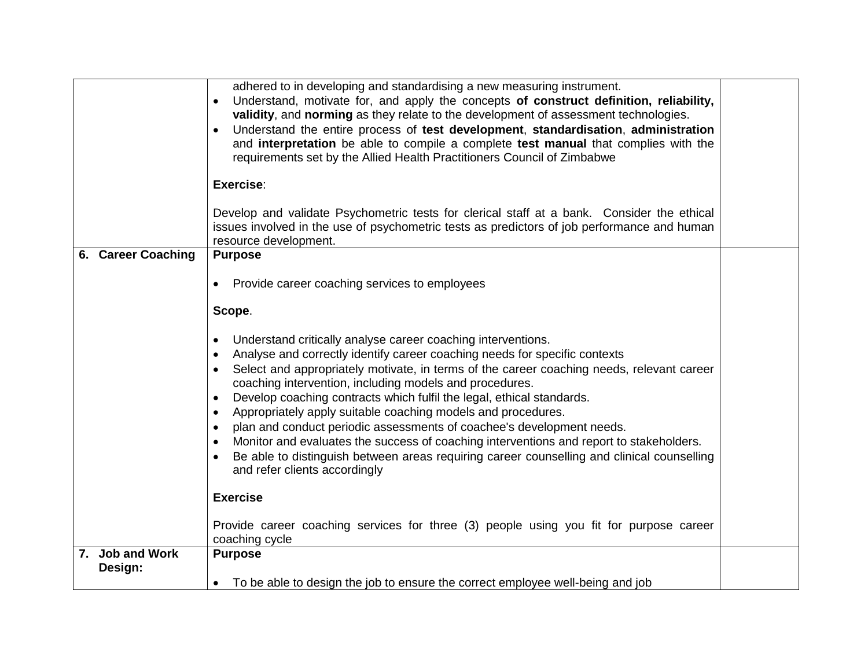|                            | adhered to in developing and standardising a new measuring instrument.<br>Understand, motivate for, and apply the concepts of construct definition, reliability,<br>$\bullet$<br>validity, and norming as they relate to the development of assessment technologies.<br>Understand the entire process of test development, standardisation, administration<br>$\bullet$<br>and interpretation be able to compile a complete test manual that complies with the<br>requirements set by the Allied Health Practitioners Council of Zimbabwe<br>Exercise:                                                                                                                                                                                                                                                                                    |  |
|----------------------------|-------------------------------------------------------------------------------------------------------------------------------------------------------------------------------------------------------------------------------------------------------------------------------------------------------------------------------------------------------------------------------------------------------------------------------------------------------------------------------------------------------------------------------------------------------------------------------------------------------------------------------------------------------------------------------------------------------------------------------------------------------------------------------------------------------------------------------------------|--|
|                            |                                                                                                                                                                                                                                                                                                                                                                                                                                                                                                                                                                                                                                                                                                                                                                                                                                           |  |
|                            | Develop and validate Psychometric tests for clerical staff at a bank. Consider the ethical<br>issues involved in the use of psychometric tests as predictors of job performance and human<br>resource development.                                                                                                                                                                                                                                                                                                                                                                                                                                                                                                                                                                                                                        |  |
| 6. Career Coaching         | <b>Purpose</b>                                                                                                                                                                                                                                                                                                                                                                                                                                                                                                                                                                                                                                                                                                                                                                                                                            |  |
|                            | Provide career coaching services to employees                                                                                                                                                                                                                                                                                                                                                                                                                                                                                                                                                                                                                                                                                                                                                                                             |  |
|                            | Scope.                                                                                                                                                                                                                                                                                                                                                                                                                                                                                                                                                                                                                                                                                                                                                                                                                                    |  |
|                            | Understand critically analyse career coaching interventions.<br>$\bullet$<br>Analyse and correctly identify career coaching needs for specific contexts<br>$\bullet$<br>Select and appropriately motivate, in terms of the career coaching needs, relevant career<br>$\bullet$<br>coaching intervention, including models and procedures.<br>Develop coaching contracts which fulfil the legal, ethical standards.<br>$\bullet$<br>Appropriately apply suitable coaching models and procedures.<br>$\bullet$<br>plan and conduct periodic assessments of coachee's development needs.<br>$\bullet$<br>Monitor and evaluates the success of coaching interventions and report to stakeholders.<br>$\bullet$<br>Be able to distinguish between areas requiring career counselling and clinical counselling<br>and refer clients accordingly |  |
|                            | <b>Exercise</b>                                                                                                                                                                                                                                                                                                                                                                                                                                                                                                                                                                                                                                                                                                                                                                                                                           |  |
|                            | Provide career coaching services for three (3) people using you fit for purpose career<br>coaching cycle                                                                                                                                                                                                                                                                                                                                                                                                                                                                                                                                                                                                                                                                                                                                  |  |
| 7. Job and Work<br>Design: | <b>Purpose</b><br>To be able to design the job to ensure the correct employee well-being and job                                                                                                                                                                                                                                                                                                                                                                                                                                                                                                                                                                                                                                                                                                                                          |  |
|                            |                                                                                                                                                                                                                                                                                                                                                                                                                                                                                                                                                                                                                                                                                                                                                                                                                                           |  |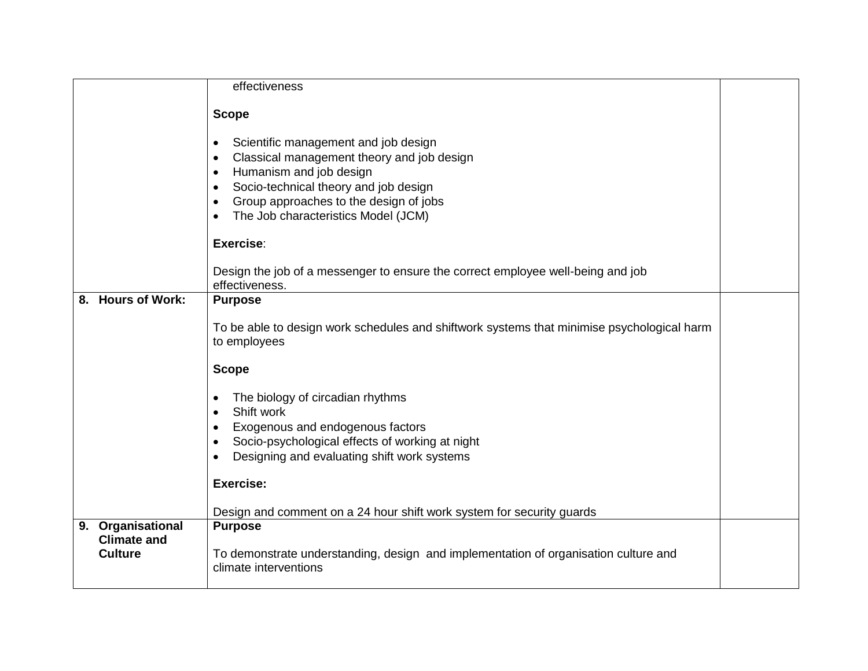|                             | effectiveness                                                                              |  |
|-----------------------------|--------------------------------------------------------------------------------------------|--|
|                             |                                                                                            |  |
|                             | <b>Scope</b>                                                                               |  |
|                             |                                                                                            |  |
|                             | Scientific management and job design<br>$\bullet$                                          |  |
|                             | Classical management theory and job design<br>$\bullet$                                    |  |
|                             | Humanism and job design<br>$\bullet$                                                       |  |
|                             | Socio-technical theory and job design<br>$\bullet$                                         |  |
|                             | Group approaches to the design of jobs<br>$\bullet$                                        |  |
|                             | The Job characteristics Model (JCM)<br>$\bullet$                                           |  |
|                             |                                                                                            |  |
|                             | Exercise:                                                                                  |  |
|                             | Design the job of a messenger to ensure the correct employee well-being and job            |  |
|                             | effectiveness.                                                                             |  |
| <b>Hours of Work:</b><br>8. | <b>Purpose</b>                                                                             |  |
|                             |                                                                                            |  |
|                             | To be able to design work schedules and shiftwork systems that minimise psychological harm |  |
|                             | to employees                                                                               |  |
|                             | <b>Scope</b>                                                                               |  |
|                             |                                                                                            |  |
|                             | The biology of circadian rhythms<br>٠                                                      |  |
|                             | Shift work<br>$\bullet$                                                                    |  |
|                             | Exogenous and endogenous factors<br>٠                                                      |  |
|                             | Socio-psychological effects of working at night<br>$\bullet$                               |  |
|                             | Designing and evaluating shift work systems<br>$\bullet$                                   |  |
|                             |                                                                                            |  |
|                             | <b>Exercise:</b>                                                                           |  |
|                             | Design and comment on a 24 hour shift work system for security guards                      |  |
| 9. Organisational           | <b>Purpose</b>                                                                             |  |
| <b>Climate and</b>          |                                                                                            |  |
| <b>Culture</b>              | To demonstrate understanding, design and implementation of organisation culture and        |  |
|                             | climate interventions                                                                      |  |
|                             |                                                                                            |  |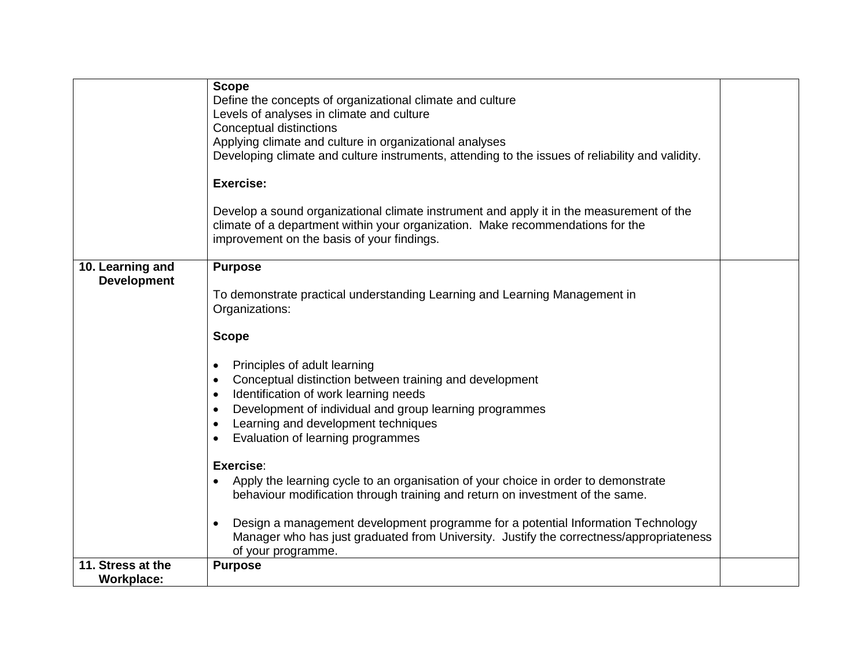| 11. Stress at the<br><b>Workplace:</b> | <b>Purpose</b>                                                                                                                                                                                                                                                                                                                                                                                                                                                                                                                                   |  |
|----------------------------------------|--------------------------------------------------------------------------------------------------------------------------------------------------------------------------------------------------------------------------------------------------------------------------------------------------------------------------------------------------------------------------------------------------------------------------------------------------------------------------------------------------------------------------------------------------|--|
|                                        | Exercise:<br>Apply the learning cycle to an organisation of your choice in order to demonstrate<br>behaviour modification through training and return on investment of the same.<br>Design a management development programme for a potential Information Technology<br>Manager who has just graduated from University. Justify the correctness/appropriateness<br>of your programme.                                                                                                                                                            |  |
|                                        | Principles of adult learning<br>Conceptual distinction between training and development<br>Identification of work learning needs<br>Development of individual and group learning programmes<br>Learning and development techniques<br>Evaluation of learning programmes                                                                                                                                                                                                                                                                          |  |
| 10. Learning and<br><b>Development</b> | <b>Purpose</b><br>To demonstrate practical understanding Learning and Learning Management in<br>Organizations:<br><b>Scope</b>                                                                                                                                                                                                                                                                                                                                                                                                                   |  |
|                                        | Define the concepts of organizational climate and culture<br>Levels of analyses in climate and culture<br>Conceptual distinctions<br>Applying climate and culture in organizational analyses<br>Developing climate and culture instruments, attending to the issues of reliability and validity.<br><b>Exercise:</b><br>Develop a sound organizational climate instrument and apply it in the measurement of the<br>climate of a department within your organization. Make recommendations for the<br>improvement on the basis of your findings. |  |
|                                        | <b>Scope</b>                                                                                                                                                                                                                                                                                                                                                                                                                                                                                                                                     |  |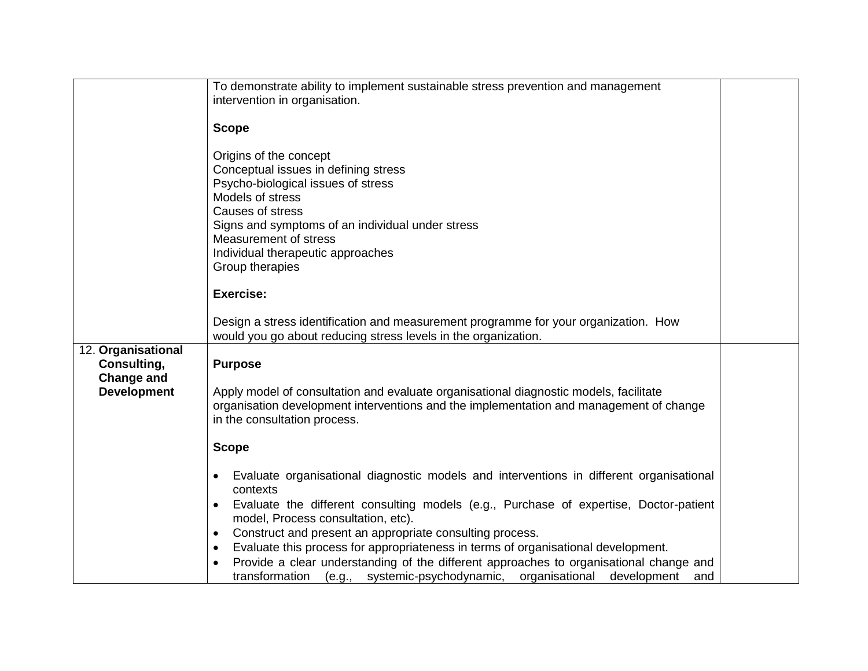|                    | To demonstrate ability to implement sustainable stress prevention and management                     |  |
|--------------------|------------------------------------------------------------------------------------------------------|--|
|                    |                                                                                                      |  |
|                    | intervention in organisation.                                                                        |  |
|                    |                                                                                                      |  |
|                    | <b>Scope</b>                                                                                         |  |
|                    |                                                                                                      |  |
|                    | Origins of the concept                                                                               |  |
|                    | Conceptual issues in defining stress                                                                 |  |
|                    | Psycho-biological issues of stress                                                                   |  |
|                    | Models of stress                                                                                     |  |
|                    |                                                                                                      |  |
|                    | Causes of stress                                                                                     |  |
|                    | Signs and symptoms of an individual under stress                                                     |  |
|                    | Measurement of stress                                                                                |  |
|                    | Individual therapeutic approaches                                                                    |  |
|                    | Group therapies                                                                                      |  |
|                    |                                                                                                      |  |
|                    | Exercise:                                                                                            |  |
|                    |                                                                                                      |  |
|                    |                                                                                                      |  |
|                    | Design a stress identification and measurement programme for your organization. How                  |  |
|                    | would you go about reducing stress levels in the organization.                                       |  |
| 12. Organisational |                                                                                                      |  |
| Consulting,        | <b>Purpose</b>                                                                                       |  |
| <b>Change and</b>  |                                                                                                      |  |
| <b>Development</b> | Apply model of consultation and evaluate organisational diagnostic models, facilitate                |  |
|                    | organisation development interventions and the implementation and management of change               |  |
|                    | in the consultation process.                                                                         |  |
|                    |                                                                                                      |  |
|                    |                                                                                                      |  |
|                    | <b>Scope</b>                                                                                         |  |
|                    |                                                                                                      |  |
|                    | Evaluate organisational diagnostic models and interventions in different organisational<br>$\bullet$ |  |
|                    | contexts                                                                                             |  |
|                    | Evaluate the different consulting models (e.g., Purchase of expertise, Doctor-patient<br>$\bullet$   |  |
|                    | model, Process consultation, etc).                                                                   |  |
|                    | Construct and present an appropriate consulting process.<br>$\bullet$                                |  |
|                    | Evaluate this process for appropriateness in terms of organisational development.                    |  |
|                    | $\bullet$                                                                                            |  |
|                    | Provide a clear understanding of the different approaches to organisational change and               |  |
|                    | transformation (e.g., systemic-psychodynamic, organisational<br>development<br>and                   |  |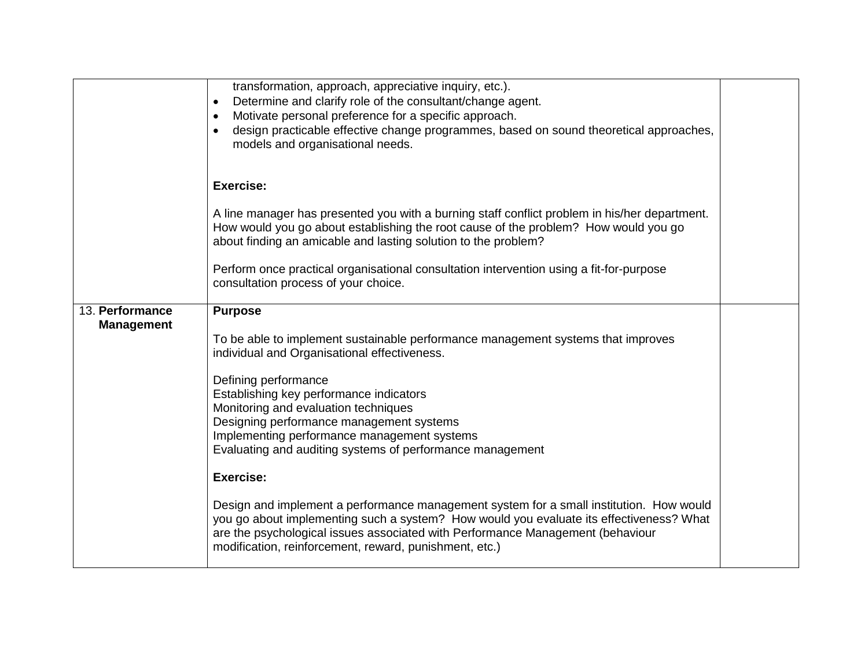|                                      | transformation, approach, appreciative inquiry, etc.).<br>Determine and clarify role of the consultant/change agent.<br>$\bullet$<br>Motivate personal preference for a specific approach.<br>$\bullet$<br>design practicable effective change programmes, based on sound theoretical approaches,<br>$\bullet$<br>models and organisational needs. |  |
|--------------------------------------|----------------------------------------------------------------------------------------------------------------------------------------------------------------------------------------------------------------------------------------------------------------------------------------------------------------------------------------------------|--|
|                                      | Exercise:                                                                                                                                                                                                                                                                                                                                          |  |
|                                      | A line manager has presented you with a burning staff conflict problem in his/her department.<br>How would you go about establishing the root cause of the problem? How would you go<br>about finding an amicable and lasting solution to the problem?                                                                                             |  |
|                                      | Perform once practical organisational consultation intervention using a fit-for-purpose<br>consultation process of your choice.                                                                                                                                                                                                                    |  |
| 13. Performance<br><b>Management</b> | <b>Purpose</b>                                                                                                                                                                                                                                                                                                                                     |  |
|                                      | To be able to implement sustainable performance management systems that improves<br>individual and Organisational effectiveness.                                                                                                                                                                                                                   |  |
|                                      | Defining performance                                                                                                                                                                                                                                                                                                                               |  |
|                                      | Establishing key performance indicators<br>Monitoring and evaluation techniques                                                                                                                                                                                                                                                                    |  |
|                                      | Designing performance management systems<br>Implementing performance management systems                                                                                                                                                                                                                                                            |  |
|                                      | Evaluating and auditing systems of performance management                                                                                                                                                                                                                                                                                          |  |
|                                      | Exercise:                                                                                                                                                                                                                                                                                                                                          |  |
|                                      | Design and implement a performance management system for a small institution. How would<br>you go about implementing such a system? How would you evaluate its effectiveness? What<br>are the psychological issues associated with Performance Management (behaviour<br>modification, reinforcement, reward, punishment, etc.)                     |  |